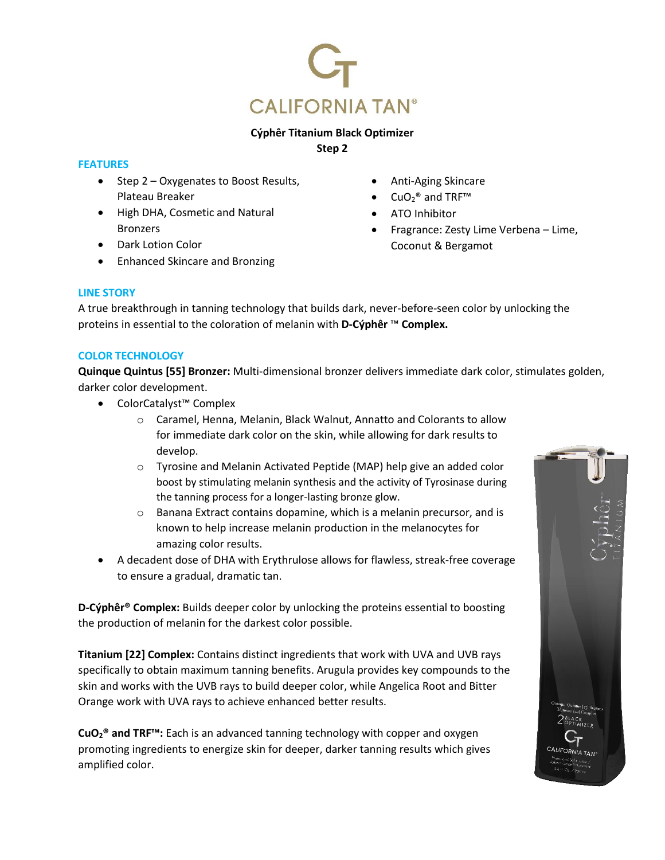

# **Cýphêr Titanium Black Optimizer**

**Step 2**

## **FEATURES**

- Step 2 Oxygenates to Boost Results, Plateau Breaker
- High DHA, Cosmetic and Natural Bronzers
- Dark Lotion Color
- Enhanced Skincare and Bronzing
- Anti-Aging Skincare
- $CuO<sub>2</sub><sup>®</sup>$  and TRF™
- ATO Inhibitor
- Fragrance: Zesty Lime Verbena Lime, Coconut & Bergamot

# **LINE STORY**

A true breakthrough in tanning technology that builds dark, never-before-seen color by unlocking the proteins in essential to the coloration of melanin with **D-Cýphêr** ™ **Complex.**

## **COLOR TECHNOLOGY**

**Quinque Quintus [55] Bronzer:** Multi-dimensional bronzer delivers immediate dark color, stimulates golden, darker color development.

- ColorCatalyst™ Complex
	- o Caramel, Henna, Melanin, Black Walnut, Annatto and Colorants to allow for immediate dark color on the skin, while allowing for dark results to develop.
	- o Tyrosine and Melanin Activated Peptide (MAP) help give an added color boost by stimulating melanin synthesis and the activity of Tyrosinase during the tanning process for a longer-lasting bronze glow.
	- o Banana Extract contains dopamine, which is a melanin precursor, and is known to help increase melanin production in the melanocytes for amazing color results.
- A decadent dose of DHA with Erythrulose allows for flawless, streak-free coverage to ensure a gradual, dramatic tan.

**D-Cýphêr® Complex:** Builds deeper color by unlocking the proteins essential to boosting the production of melanin for the darkest color possible.

**Titanium [22] Complex:** Contains distinct ingredients that work with UVA and UVB rays specifically to obtain maximum tanning benefits. Arugula provides key compounds to the skin and works with the UVB rays to build deeper color, while Angelica Root and Bitter Orange work with UVA rays to achieve enhanced better results.

**CuO2® and TRF™:** Each is an advanced tanning technology with copper and oxygen promoting ingredients to energize skin for deeper, darker tanning results which gives amplified color.